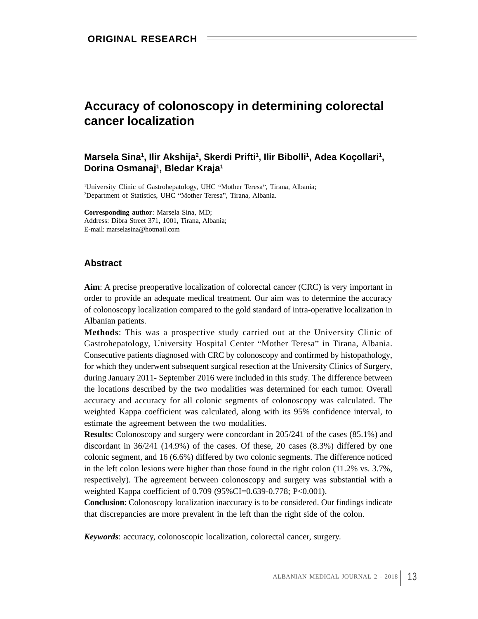# **Accuracy of colonoscopy in determining colorectal cancer localization**

### Marsela Sina<sup>ı</sup>, Ilir Akshija<sup>2</sup>, Skerdi Prifti<sup>ı</sup>, Ilir Bibolli<sup>ı</sup>, Adea Koçollari<sup>ı</sup>, **, Adea Koçollari1 ,** Dorina Osmanaj<sup>1</sup>, Bledar Kraja<sup>1</sup> **, Bledar Kraja1**

<sup>1</sup>University Clinic of Gastrohepatology, UHC "Mother Teresa", Tirana, Albania; <sup>2</sup>Department of Statistics, UHC "Mother Teresa", Tirana, Albania.

**Corresponding author**: Marsela Sina, MD; Address: Dibra Street 371, 1001, Tirana, Albania; E-mail: marselasina@hotmail.com

### **Abstract**

**Aim**: A precise preoperative localization of colorectal cancer (CRC) is very important in order to provide an adequate medical treatment. Our aim was to determine the accuracy of colonoscopy localization compared to the gold standard of intra-operative localization in Albanian patients.

**Methods**: This was a prospective study carried out at the University Clinic of Gastrohepatology, University Hospital Center "Mother Teresa" in Tirana, Albania. Consecutive patients diagnosed with CRC by colonoscopy and confirmed by histopathology, for which they underwent subsequent surgical resection at the University Clinics of Surgery, during January 2011- September 2016 were included in this study. The difference between the locations described by the two modalities was determined for each tumor. Overall accuracy and accuracy for all colonic segments of colonoscopy was calculated. The weighted Kappa coefficient was calculated, along with its 95% confidence interval, to estimate the agreement between the two modalities.

**Results**: Colonoscopy and surgery were concordant in 205/241 of the cases (85.1%) and discordant in 36/241 (14.9%) of the cases. Of these, 20 cases (8.3%) differed by one colonic segment, and 16 (6.6%) differed by two colonic segments. The difference noticed in the left colon lesions were higher than those found in the right colon (11.2% vs. 3.7%, respectively). The agreement between colonoscopy and surgery was substantial with a weighted Kappa coefficient of 0.709 (95%CI=0.639-0.778; P<0.001).

**Conclusion**: Colonoscopy localization inaccuracy is to be considered. Our findings indicate that discrepancies are more prevalent in the left than the right side of the colon.

*Keywords*: accuracy, colonoscopic localization, colorectal cancer, surgery.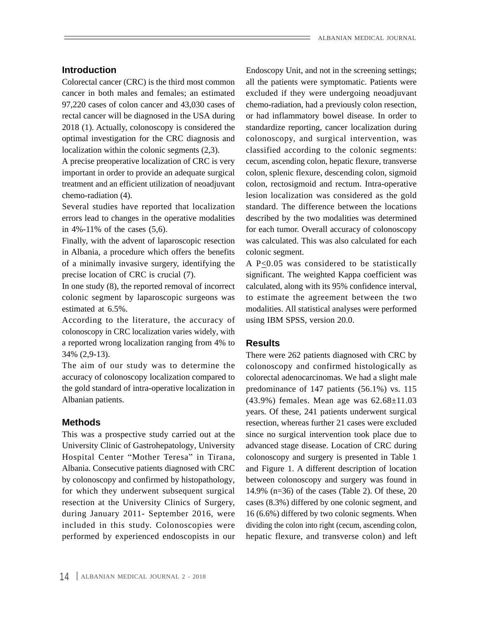Colorectal cancer (CRC) is the third most common rectal cancer will be diagnosed in the USA during 2018 (1). Actually, colonoscopy is considered the optimal investigation for the CRC diagnosis and

A precise preoperative localization of CRC is very important in order to provide an adequate surgical treatment and an efficient utilization of neoadjuvant

Several studies have reported that localization errors lead to changes in the operative modalities

Finally, with the advent of laparoscopic resection in Albania, a procedure which offers the benefits of a minimally invasive surgery, identifying the

In one study (8), the reported removal of incorrect colonic segment by laparoscopic surgeons was

According to the literature, the accuracy of using IBM SPSS, version 20.0. colonoscopy in CRC localization varies widely, with a reported wrong localization ranging from 4% to Results

The aim of our study was to determine the colonoscopy and confirmed histologically as accuracy of colonoscopy localization compared to colorectal adenocarcinomas. We had a slight male the gold standard of intra-operative localization in

This was a prospective study carried out at the University Clinic of Gastrohepatology, University Hospital Center "Mother Teresa" in Tirana, Albania. Consecutive patients diagnosed with CRC by colonoscopy and confirmed by histopathology, for which they underwent subsequent surgical resection at the University Clinics of Surgery, during January 2011- September 2016, were included in this study. Colonoscopies were performed by experienced endoscopists in our

**Introduction** Endoscopy Unit, and not in the screening settings; cancer in both males and females; an estimated excluded if they were undergoing neoadjuvant 97,220 cases of colon cancer and 43,030 cases of chemo-radiation, had a previously colon resection, localization within the colonic segments (2,3). classified according to the colonic segments: chemo-radiation (4). lesion localization was considered as the gold in 4%-11% of the cases (5,6). for each tumor. Overall accuracy of colonoscopy all the patients were symptomatic. Patients were or had inflammatory bowel disease. In order to standardize reporting, cancer localization during colonoscopy, and surgical intervention, was cecum, ascending colon, hepatic flexure, transverse colon, splenic flexure, descending colon, sigmoid colon, rectosigmoid and rectum. Intra-operative standard. The difference between the locations described by the two modalities was determined was calculated. This was also calculated for each colonic segment.

precise location of CRC is crucial (7). significant. The weighted Kappa coefficient was estimated at 6.5%. modalities. All statistical analyses were performed A P<0.05 was considered to be statistically calculated, along with its 95% confidence interval, to estimate the agreement between the two using IBM SPSS, version 20.0.

### **Results**

34% (2,9-13). There were 262 patients diagnosed with CRC by Albanian patients. (43.9%) females. Mean age was  $62.68 \pm 11.03$ **Methods resection**, whereas further 21 cases were excluded predominance of 147 patients (56.1%) vs. 115 years. Of these, 241 patients underwent surgical since no surgical intervention took place due to advanced stage disease. Location of CRC during colonoscopy and surgery is presented in Table 1 and Figure 1. A different description of location between colonoscopy and surgery was found in 14.9% (n=36) of the cases (Table 2). Of these, 20 cases (8.3%) differed by one colonic segment, and 16 (6.6%) differed by two colonic segments. When dividing the colon into right (cecum, ascending colon, hepatic flexure, and transverse colon) and left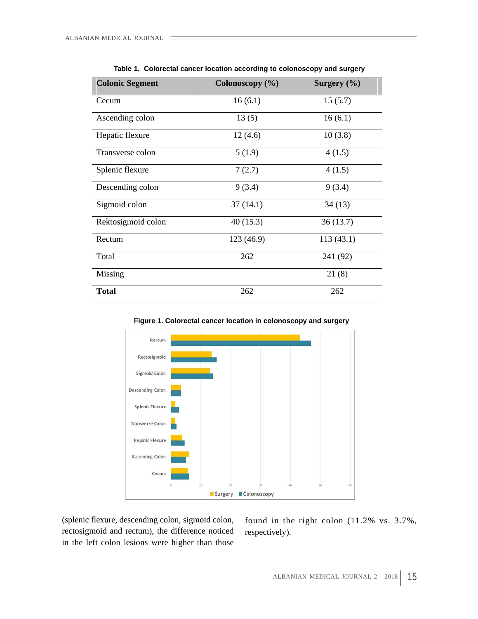| <b>Colonic Segment</b> | Colonoscopy (%) | Surgery $(\%)$ |
|------------------------|-----------------|----------------|
| Cecum                  | 16(6.1)         | 15(5.7)        |
| Ascending colon        | 13(5)           | 16(6.1)        |
| Hepatic flexure        | 12(4.6)         | 10(3.8)        |
| Transverse colon       | 5(1.9)          | 4(1.5)         |
| Splenic flexure        | 7(2.7)          | 4(1.5)         |
| Descending colon       | 9(3.4)          | 9(3.4)         |
| Sigmoid colon          | 37(14.1)        | 34(13)         |
| Rektosigmoid colon     | 40(15.3)        | 36(13.7)       |
| Rectum                 | 123(46.9)       | 113(43.1)      |
| Total                  | 262             | 241(92)        |
| Missing                |                 | 21(8)          |
| <b>Total</b>           | 262             | 262            |

**Table 1. Colorectal cancer location according to colonoscopy and surgery**



**Figure 1. Colorectal cancer location in colonoscopy and surgery**

(splenic flexure, descending colon, sigmoid colon, rectosigmoid and rectum), the difference noticed in the left colon lesions were higher than those

found in the right colon (11.2% vs. 3.7%, respectively).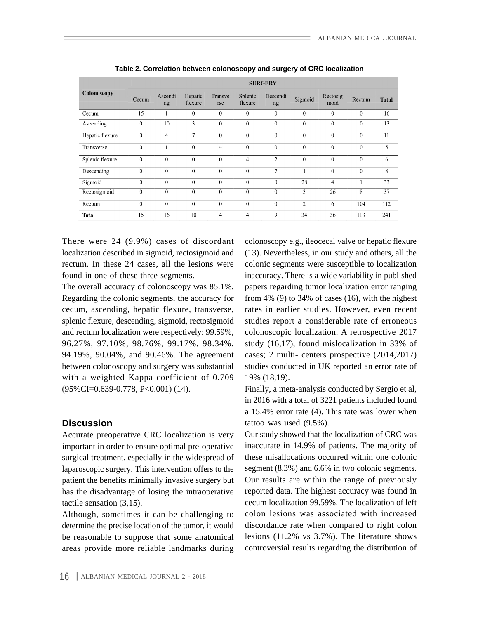|                 | <b>SURGERY</b> |               |                    |                |                    |                |                |                  |              |              |  |  |
|-----------------|----------------|---------------|--------------------|----------------|--------------------|----------------|----------------|------------------|--------------|--------------|--|--|
| Colonoscopy     | Cecum          | Ascendi<br>ng | Hepatic<br>flexure | Transve<br>rse | Splenic<br>flexure | Descendi<br>ng | Sigmoid        | Rectosig<br>moid | Rectum       | <b>Total</b> |  |  |
| Cecum           | 15             |               | $\boldsymbol{0}$   | $\theta$       | $\Omega$           | $\theta$       | $\theta$       | $\theta$         | $\theta$     | 16           |  |  |
| Ascending       | $\theta$       | 10            | 3                  | $\Omega$       | $\Omega$           | $\theta$       | $\Omega$       | $\Omega$         | $\theta$     | 13           |  |  |
| Hepatic flexure | $\theta$       | 4             | 7                  | $\theta$       | $\theta$           | $\theta$       | $\theta$       | $\theta$         | $\theta$     | 11           |  |  |
| Transverse      | $\theta$       |               | $\mathbf{0}$       | $\overline{4}$ | $\Omega$           | $\mathbf{0}$   | $\Omega$       | $\Omega$         | $\mathbf{0}$ | 5            |  |  |
| Splenic flexure | $\mathbf{0}$   | $\mathbf{0}$  | $\mathbf{0}$       | $\mathbf{0}$   | $\overline{4}$     | $\overline{2}$ | $\mathbf{0}$   | $\mathbf{0}$     | $\mathbf{0}$ | 6            |  |  |
| Descending      | $\theta$       | $\theta$      | $\theta$           | $\theta$       | $\mathbf{0}$       | $\overline{7}$ |                | $\theta$         | $\theta$     | 8            |  |  |
| Sigmoid         | $\theta$       | $\theta$      | $\theta$           | $\theta$       | $\theta$           | $\theta$       | 28             | $\overline{4}$   |              | 33           |  |  |
| Rectosigmoid    | $\mathbf{0}$   | $\theta$      | $\mathbf{0}$       | $\theta$       | $\theta$           | $\mathbf{0}$   | 3              | 26               | 8            | 37           |  |  |
| Rectum          | $\mathbf{0}$   | $\theta$      | $\theta$           | $\mathbf{0}$   | $\Omega$           | $\theta$       | $\overline{c}$ | 6                | 104          | 112          |  |  |
| <b>Total</b>    | 15             | 16            | 10                 | $\overline{4}$ | $\overline{4}$     | 9              | 34             | 36               | 113          | 241          |  |  |

**Table 2. Correlation between colonoscopy and surgery of CRC localization**

There were 24 (9.9%) cases of discordant colonoscopy e.g., ileocecal valve or hepatic flexure

cecum, ascending, hepatic flexure, transverse, with a weighted Kappa coefficient of 0.709 19% (18,19).

Accurate preoperative CRC localization is very important in order to ensure optimal pre-operative surgical treatment, especially in the widespread of laparoscopic surgery. This intervention offers to the patient the benefits minimally invasive surgery but

Although, sometimes it can be challenging to be reasonable to suppose that some anatomical areas provide more reliable landmarks during

localization described in sigmoid, rectosigmoid and (13). Nevertheless, in our study and others, all the rectum. In these 24 cases, all the lesions were colonic segments were susceptible to localization found in one of these three segments. inaccuracy. There is a wide variability in published The overall accuracy of colonoscopy was 85.1%. papers regarding tumor localization error ranging Regarding the colonic segments, the accuracy for from 4% (9) to 34% of cases (16), with the highest splenic flexure, descending, sigmoid, rectosigmoid studies report a considerable rate of erroneous and rectum localization were respectively: 99.59%, colonoscopic localization. A retrospective 2017 96.27%, 97.10%, 98.76%, 99.17%, 98.34%, study (16,17), found mislocalization in 33% of 94.19%, 90.04%, and 90.46%. The agreement cases; 2 multi- centers prospective (2014,2017) between colonoscopy and surgery was substantial studies conducted in UK reported an error rate of rates in earlier studies. However, even recent 19% (18,19).

(95%CI=0.639-0.778, P<0.001) (14). Finally, a meta-analysis conducted by Sergio et al, **Discussion** tattoo was used  $(9.5\%)$ . in 2016 with a total of 3221 patients included found a 15.4% error rate (4). This rate was lower when tattoo was used  $(9.5\%)$ .

has the disadvantage of losing the intraoperative reported data. The highest accuracy was found in tactile sensation (3,15). cecum localization 99.59%. The localization of left determine the precise location of the tumor, it would discordance rate when compared to right colon Our study showed that the localization of CRC was inaccurate in 14.9% of patients. The majority of these misallocations occurred within one colonic segment (8.3%) and 6.6% in two colonic segments. Our results are within the range of previously colon lesions was associated with increased lesions (11.2% vs 3.7%). The literature shows controversial results regarding the distribution of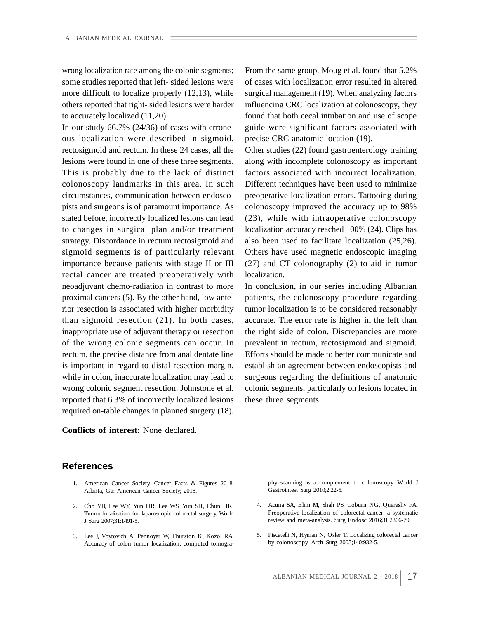wrong localization rate among the colonic segments; From the same group, Moug et al. found that 5.2%

ous localization were described in sigmoid, This is probably due to the lack of distinct stated before, incorrectly localized lesions can lead strategy. Discordance in rectum rectosigmoid and rectal cancer are treated preoperatively with localization. neoadjuvant chemo-radiation in contrast to more In conclusion, in our series including Albanian proximal cancers (5). By the other hand, low anterior resection is associated with higher morbidity reported that 6.3% of incorrectly localized lesions these three segments. required on-table changes in planned surgery (18).

some studies reported that left- sided lesions were of cases with localization error resulted in altered more difficult to localize properly (12,13), while surgical management (19). When analyzing factors others reported that right- sided lesions were harder influencing CRC localization at colonoscopy, they to accurately localized (11,20). found that both cecal intubation and use of scope In our study 66.7% (24/36) of cases with errone- guide were significant factors associated with precise CRC anatomic location (19).

rectosigmoid and rectum. In these 24 cases, all the Other studies (22) found gastroenterology training lesions were found in one of these three segments. along with incomplete colonoscopy as important colonoscopy landmarks in this area. In such Different techniques have been used to minimize circumstances, communication between endosco- preoperative localization errors. Tattooing during pists and surgeons is of paramount importance. As colonoscopy improved the accuracy up to 98% to changes in surgical plan and/or treatment localization accuracy reached 100% (24). Clips has sigmoid segments is of particularly relevant Others have used magnetic endoscopic imaging importance because patients with stage II or III (27) and CT colonography (2) to aid in tumor factors associated with incorrect localization. (23), while with intraoperative colonoscopy also been used to facilitate localization (25,26). localization.

than sigmoid resection (21). In both cases, accurate. The error rate is higher in the left than inappropriate use of adjuvant therapy or resection the right side of colon. Discrepancies are more of the wrong colonic segments can occur. In prevalent in rectum, rectosigmoid and sigmoid. rectum, the precise distance from anal dentate line Efforts should be made to better communicate and is important in regard to distal resection margin, establish an agreement between endoscopists and while in colon, inaccurate localization may lead to surgeons regarding the definitions of anatomic wrong colonic segment resection. Johnstone et al. colonic segments, particularly on lesions located in patients, the colonoscopy procedure regarding tumor localization is to be considered reasonably these three segments.

**Conflicts of interest**: None declared.

## **References**

- Atlanta, Ga: American Cancer Society; 2018. Gastrointest Surg 2010;2:22-5.
- Tumor localization for laparoscopic colorectal surgery. World J Surg 2007;31:1491-5. review and meta-analysis. Surg Endosc 2016;31:2366-79.
- 3. Lee J, Voytovich A, Pennoyer W, Thurston K, Kozol RA.

1. American Cancer Society. Cancer Facts & Figures 2018. phy scanning as a complement to colonoscopy. World J

- 2. Cho YB, Lee WY, Yun HR, Lee WS, Yun SH, Chun HK. American Cancer Society. Cancer Facts & Figures 2018. Channel and the state of colonoscopy. World J<br>Atlanta, Ga: American Cancer Society; 2018. Channel Castrointest Surg 2010;2:22-5.<br>Channel Castrointest Surg 2010;2:22-5.<br> Gastrointest Surg 2010;2:22-5.4. Acuna SA, Elmi M, Shah PS, Coburn NG, Quereshy FA. Preoperative localization of colorectal cancer: a systematic
	- 5. Piscatelli N, Hyman N, Osler T. Localizing colorectal cancer by colonoscopy. Arch Surg 2005;140:932-5.